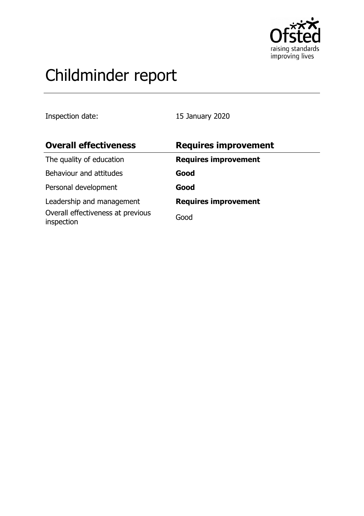

# Childminder report

Inspection date: 15 January 2020

| <b>Overall effectiveness</b>                    | <b>Requires improvement</b> |
|-------------------------------------------------|-----------------------------|
| The quality of education                        | <b>Requires improvement</b> |
| Behaviour and attitudes                         | Good                        |
| Personal development                            | Good                        |
| Leadership and management                       | <b>Requires improvement</b> |
| Overall effectiveness at previous<br>inspection | Good                        |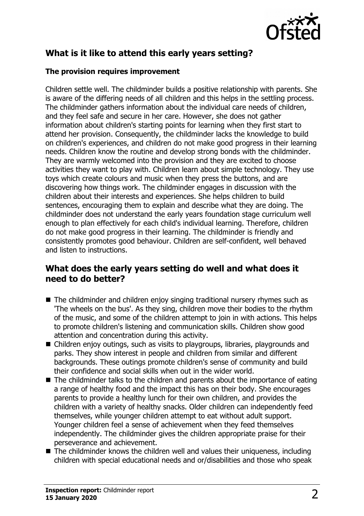

# **What is it like to attend this early years setting?**

#### **The provision requires improvement**

Children settle well. The childminder builds a positive relationship with parents. She is aware of the differing needs of all children and this helps in the settling process. The childminder gathers information about the individual care needs of children, and they feel safe and secure in her care. However, she does not gather information about children's starting points for learning when they first start to attend her provision. Consequently, the childminder lacks the knowledge to build on children's experiences, and children do not make good progress in their learning needs. Children know the routine and develop strong bonds with the childminder. They are warmly welcomed into the provision and they are excited to choose activities they want to play with. Children learn about simple technology. They use toys which create colours and music when they press the buttons, and are discovering how things work. The childminder engages in discussion with the children about their interests and experiences. She helps children to build sentences, encouraging them to explain and describe what they are doing. The childminder does not understand the early years foundation stage curriculum well enough to plan effectively for each child's individual learning. Therefore, children do not make good progress in their learning. The childminder is friendly and consistently promotes good behaviour. Children are self-confident, well behaved and listen to instructions.

## **What does the early years setting do well and what does it need to do better?**

- $\blacksquare$  The childminder and children enjoy singing traditional nursery rhymes such as 'The wheels on the bus'. As they sing, children move their bodies to the rhythm of the music, and some of the children attempt to join in with actions. This helps to promote children's listening and communication skills. Children show good attention and concentration during this activity.
- $\blacksquare$  Children enjoy outings, such as visits to playgroups, libraries, playgrounds and parks. They show interest in people and children from similar and different backgrounds. These outings promote children's sense of community and build their confidence and social skills when out in the wider world.
- $\blacksquare$  The childminder talks to the children and parents about the importance of eating a range of healthy food and the impact this has on their body. She encourages parents to provide a healthy lunch for their own children, and provides the children with a variety of healthy snacks. Older children can independently feed themselves, while younger children attempt to eat without adult support. Younger children feel a sense of achievement when they feed themselves independently. The childminder gives the children appropriate praise for their perseverance and achievement.
- $\blacksquare$  The childminder knows the children well and values their uniqueness, including children with special educational needs and or/disabilities and those who speak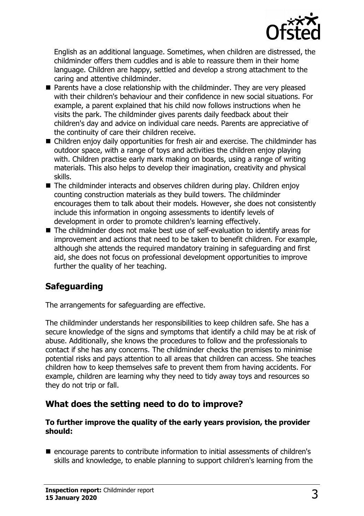

English as an additional language. Sometimes, when children are distressed, the childminder offers them cuddles and is able to reassure them in their home language. Children are happy, settled and develop a strong attachment to the caring and attentive childminder.

- $\blacksquare$  Parents have a close relationship with the childminder. They are very pleased with their children's behaviour and their confidence in new social situations. For example, a parent explained that his child now follows instructions when he visits the park. The childminder gives parents daily feedback about their children's day and advice on individual care needs. Parents are appreciative of the continuity of care their children receive.
- Children enjoy daily opportunities for fresh air and exercise. The childminder has outdoor space, with a range of toys and activities the children enjoy playing with. Children practise early mark making on boards, using a range of writing materials. This also helps to develop their imagination, creativity and physical skills.
- $\blacksquare$  The childminder interacts and observes children during play. Children enjoy counting construction materials as they build towers. The childminder encourages them to talk about their models. However, she does not consistently include this information in ongoing assessments to identify levels of development in order to promote children's learning effectively.
- $\blacksquare$  The childminder does not make best use of self-evaluation to identify areas for improvement and actions that need to be taken to benefit children. For example, although she attends the required mandatory training in safeguarding and first aid, she does not focus on professional development opportunities to improve further the quality of her teaching.

# **Safeguarding**

The arrangements for safeguarding are effective.

The childminder understands her responsibilities to keep children safe. She has a secure knowledge of the signs and symptoms that identify a child may be at risk of abuse. Additionally, she knows the procedures to follow and the professionals to contact if she has any concerns. The childminder checks the premises to minimise potential risks and pays attention to all areas that children can access. She teaches children how to keep themselves safe to prevent them from having accidents. For example, children are learning why they need to tidy away toys and resources so they do not trip or fall.

## **What does the setting need to do to improve?**

#### **To further improve the quality of the early years provision, the provider should:**

■ encourage parents to contribute information to initial assessments of children's skills and knowledge, to enable planning to support children's learning from the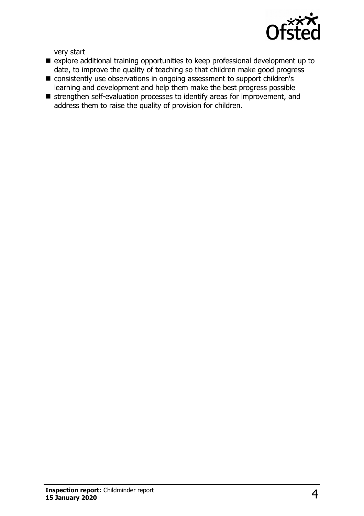

very start

- n explore additional training opportunities to keep professional development up to date, to improve the quality of teaching so that children make good progress
- consistently use observations in ongoing assessment to support children's learning and development and help them make the best progress possible
- strengthen self-evaluation processes to identify areas for improvement, and address them to raise the quality of provision for children.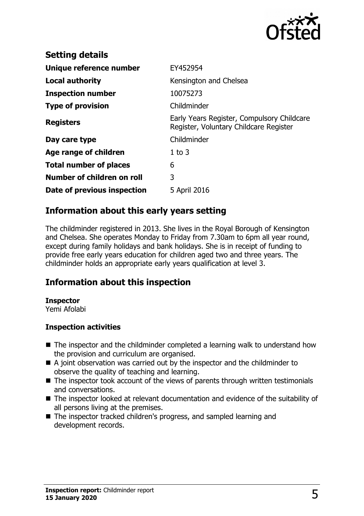

| <b>Setting details</b>        |                                                                                      |
|-------------------------------|--------------------------------------------------------------------------------------|
| Unique reference number       | EY452954                                                                             |
| Local authority               | Kensington and Chelsea                                                               |
| <b>Inspection number</b>      | 10075273                                                                             |
| <b>Type of provision</b>      | Childminder                                                                          |
| <b>Registers</b>              | Early Years Register, Compulsory Childcare<br>Register, Voluntary Childcare Register |
| Day care type                 | Childminder                                                                          |
| Age range of children         | $1$ to $3$                                                                           |
| <b>Total number of places</b> | 6                                                                                    |
| Number of children on roll    | 3                                                                                    |
| Date of previous inspection   | 5 April 2016                                                                         |

# **Information about this early years setting**

The childminder registered in 2013. She lives in the Royal Borough of Kensington and Chelsea. She operates Monday to Friday from 7.30am to 6pm all year round, except during family holidays and bank holidays. She is in receipt of funding to provide free early years education for children aged two and three years. The childminder holds an appropriate early years qualification at level 3.

## **Information about this inspection**

#### **Inspector**

Yemi Afolabi

#### **Inspection activities**

- $\blacksquare$  The inspector and the childminder completed a learning walk to understand how the provision and curriculum are organised.
- $\blacksquare$  A joint observation was carried out by the inspector and the childminder to observe the quality of teaching and learning.
- $\blacksquare$  The inspector took account of the views of parents through written testimonials and conversations.
- $\blacksquare$  The inspector looked at relevant documentation and evidence of the suitability of all persons living at the premises.
- The inspector tracked children's progress, and sampled learning and development records.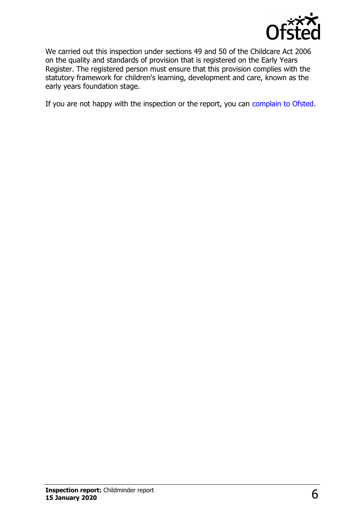

We carried out this inspection under sections 49 and 50 of the Childcare Act 2006 on the quality and standards of provision that is registered on the Early Years Register. The registered person must ensure that this provision complies with the statutory framework for children's learning, development and care, known as the early years foundation stage.

If you are not happy with the inspection or the report, you can [complain to Ofsted.](http://www.gov.uk/complain-ofsted-report)